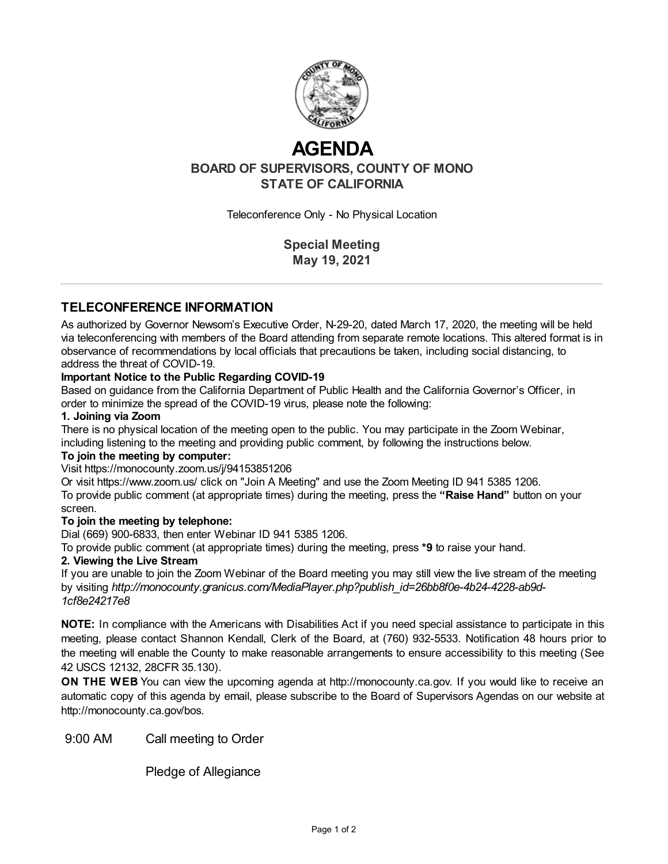

# **AGENDA**

**BOARD OF SUPERVISORS, COUNTY OF MONO STATE OF CALIFORNIA**

Teleconference Only - No Physical Location

**Special Meeting May 19, 2021**

# **TELECONFERENCE INFORMATION**

As authorized by Governor Newsom's Executive Order, N-29-20, dated March 17, 2020, the meeting will be held via teleconferencing with members of the Board attending from separate remote locations. This altered format is in observance of recommendations by local officials that precautions be taken, including social distancing, to address the threat of COVID-19.

## **Important Notice to the Public Regarding COVID-19**

Based on guidance from the California Department of Public Health and the California Governor's Officer, in order to minimize the spread of the COVID-19 virus, please note the following:

## **1. Joining via Zoom**

There is no physical location of the meeting open to the public. You may participate in the Zoom Webinar, including listening to the meeting and providing public comment, by following the instructions below.

### **To join the meeting by computer:**

Visit https://monocounty.zoom.us/j/94153851206

Or visit https://www.zoom.us/ click on "Join A Meeting" and use the Zoom Meeting ID 941 5385 1206. To provide public comment (at appropriate times) during the meeting, press the **"Raise Hand"** button on your screen.

## **To join the meeting by telephone:**

Dial (669) 900-6833, then enter Webinar ID 941 5385 1206.

To provide public comment (at appropriate times) during the meeting, press **\*9** to raise your hand.

#### **2. Viewing the Live Stream**

If you are unable to join the Zoom Webinar of the Board meeting you may still view the live stream of the meeting by visiting *http://monocounty.granicus.com/MediaPlayer.php?publish\_id=26bb8f0e-4b24-4228-ab9d-1cf8e24217e8*

**NOTE:** In compliance with the Americans with Disabilities Act if you need special assistance to participate in this meeting, please contact Shannon Kendall, Clerk of the Board, at (760) 932-5533. Notification 48 hours prior to the meeting will enable the County to make reasonable arrangements to ensure accessibility to this meeting (See 42 USCS 12132, 28CFR 35.130).

**ON THE WEB** You can view the upcoming agenda at [http://monocounty.ca.gov](http://monocounty.ca.gov/). If you would like to receive an automatic copy of this agenda by email, please subscribe to the Board of Supervisors Agendas on our website at <http://monocounty.ca.gov/bos>.

9:00 AM Call meeting to Order

Pledge of Allegiance